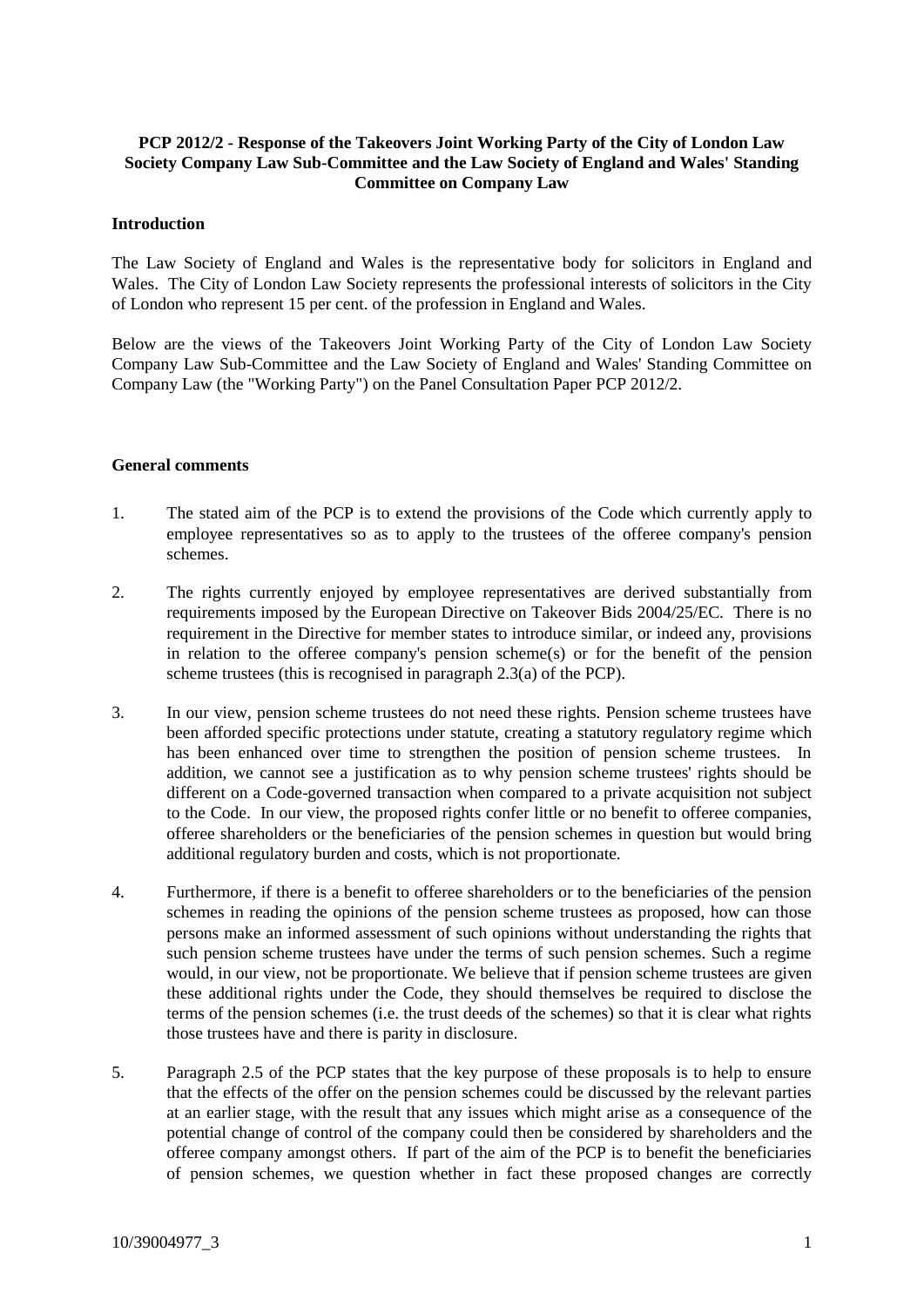# **PCP 2012/2 - Response of the Takeovers Joint Working Party of the City of London Law Society Company Law Sub-Committee and the Law Society of England and Wales' Standing Committee on Company Law**

### **Introduction**

The Law Society of England and Wales is the representative body for solicitors in England and Wales. The City of London Law Society represents the professional interests of solicitors in the City of London who represent 15 per cent. of the profession in England and Wales.

Below are the views of the Takeovers Joint Working Party of the City of London Law Society Company Law Sub-Committee and the Law Society of England and Wales' Standing Committee on Company Law (the "Working Party") on the Panel Consultation Paper PCP 2012/2.

### **General comments**

- 1. The stated aim of the PCP is to extend the provisions of the Code which currently apply to employee representatives so as to apply to the trustees of the offeree company's pension schemes.
- 2. The rights currently enjoyed by employee representatives are derived substantially from requirements imposed by the European Directive on Takeover Bids 2004/25/EC. There is no requirement in the Directive for member states to introduce similar, or indeed any, provisions in relation to the offeree company's pension scheme(s) or for the benefit of the pension scheme trustees (this is recognised in paragraph 2.3(a) of the PCP).
- 3. In our view, pension scheme trustees do not need these rights. Pension scheme trustees have been afforded specific protections under statute, creating a statutory regulatory regime which has been enhanced over time to strengthen the position of pension scheme trustees. In addition, we cannot see a justification as to why pension scheme trustees' rights should be different on a Code-governed transaction when compared to a private acquisition not subject to the Code. In our view, the proposed rights confer little or no benefit to offeree companies, offeree shareholders or the beneficiaries of the pension schemes in question but would bring additional regulatory burden and costs, which is not proportionate.
- 4. Furthermore, if there is a benefit to offeree shareholders or to the beneficiaries of the pension schemes in reading the opinions of the pension scheme trustees as proposed, how can those persons make an informed assessment of such opinions without understanding the rights that such pension scheme trustees have under the terms of such pension schemes. Such a regime would, in our view, not be proportionate. We believe that if pension scheme trustees are given these additional rights under the Code, they should themselves be required to disclose the terms of the pension schemes (i.e. the trust deeds of the schemes) so that it is clear what rights those trustees have and there is parity in disclosure.
- 5. Paragraph 2.5 of the PCP states that the key purpose of these proposals is to help to ensure that the effects of the offer on the pension schemes could be discussed by the relevant parties at an earlier stage, with the result that any issues which might arise as a consequence of the potential change of control of the company could then be considered by shareholders and the offeree company amongst others. If part of the aim of the PCP is to benefit the beneficiaries of pension schemes, we question whether in fact these proposed changes are correctly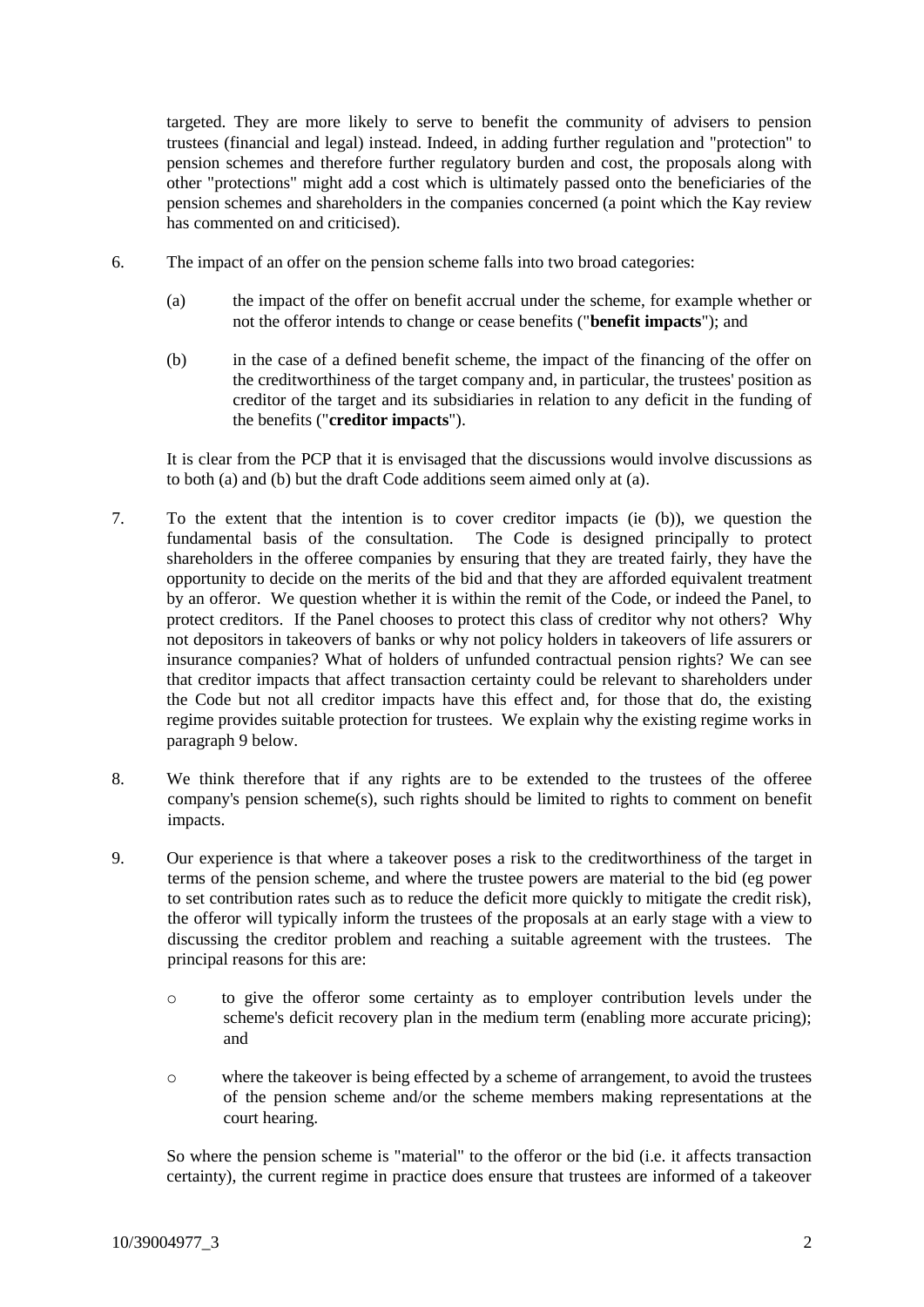targeted. They are more likely to serve to benefit the community of advisers to pension trustees (financial and legal) instead. Indeed, in adding further regulation and "protection" to pension schemes and therefore further regulatory burden and cost, the proposals along with other "protections" might add a cost which is ultimately passed onto the beneficiaries of the pension schemes and shareholders in the companies concerned (a point which the Kay review has commented on and criticised).

- 6. The impact of an offer on the pension scheme falls into two broad categories:
	- (a) the impact of the offer on benefit accrual under the scheme, for example whether or not the offeror intends to change or cease benefits ("**benefit impacts**"); and
	- (b) in the case of a defined benefit scheme, the impact of the financing of the offer on the creditworthiness of the target company and, in particular, the trustees' position as creditor of the target and its subsidiaries in relation to any deficit in the funding of the benefits ("**creditor impacts**").

It is clear from the PCP that it is envisaged that the discussions would involve discussions as to both (a) and (b) but the draft Code additions seem aimed only at (a).

- 7. To the extent that the intention is to cover creditor impacts (ie (b)), we question the fundamental basis of the consultation. The Code is designed principally to protect shareholders in the offeree companies by ensuring that they are treated fairly, they have the opportunity to decide on the merits of the bid and that they are afforded equivalent treatment by an offeror. We question whether it is within the remit of the Code, or indeed the Panel, to protect creditors. If the Panel chooses to protect this class of creditor why not others? Why not depositors in takeovers of banks or why not policy holders in takeovers of life assurers or insurance companies? What of holders of unfunded contractual pension rights? We can see that creditor impacts that affect transaction certainty could be relevant to shareholders under the Code but not all creditor impacts have this effect and, for those that do, the existing regime provides suitable protection for trustees. We explain why the existing regime works in paragraph 9 below.
- 8. We think therefore that if any rights are to be extended to the trustees of the offeree company's pension scheme(s), such rights should be limited to rights to comment on benefit impacts.
- 9. Our experience is that where a takeover poses a risk to the creditworthiness of the target in terms of the pension scheme, and where the trustee powers are material to the bid (eg power to set contribution rates such as to reduce the deficit more quickly to mitigate the credit risk), the offeror will typically inform the trustees of the proposals at an early stage with a view to discussing the creditor problem and reaching a suitable agreement with the trustees. The principal reasons for this are:
	- o to give the offeror some certainty as to employer contribution levels under the scheme's deficit recovery plan in the medium term (enabling more accurate pricing); and
	- o where the takeover is being effected by a scheme of arrangement, to avoid the trustees of the pension scheme and/or the scheme members making representations at the court hearing.

So where the pension scheme is "material" to the offeror or the bid (i.e. it affects transaction certainty), the current regime in practice does ensure that trustees are informed of a takeover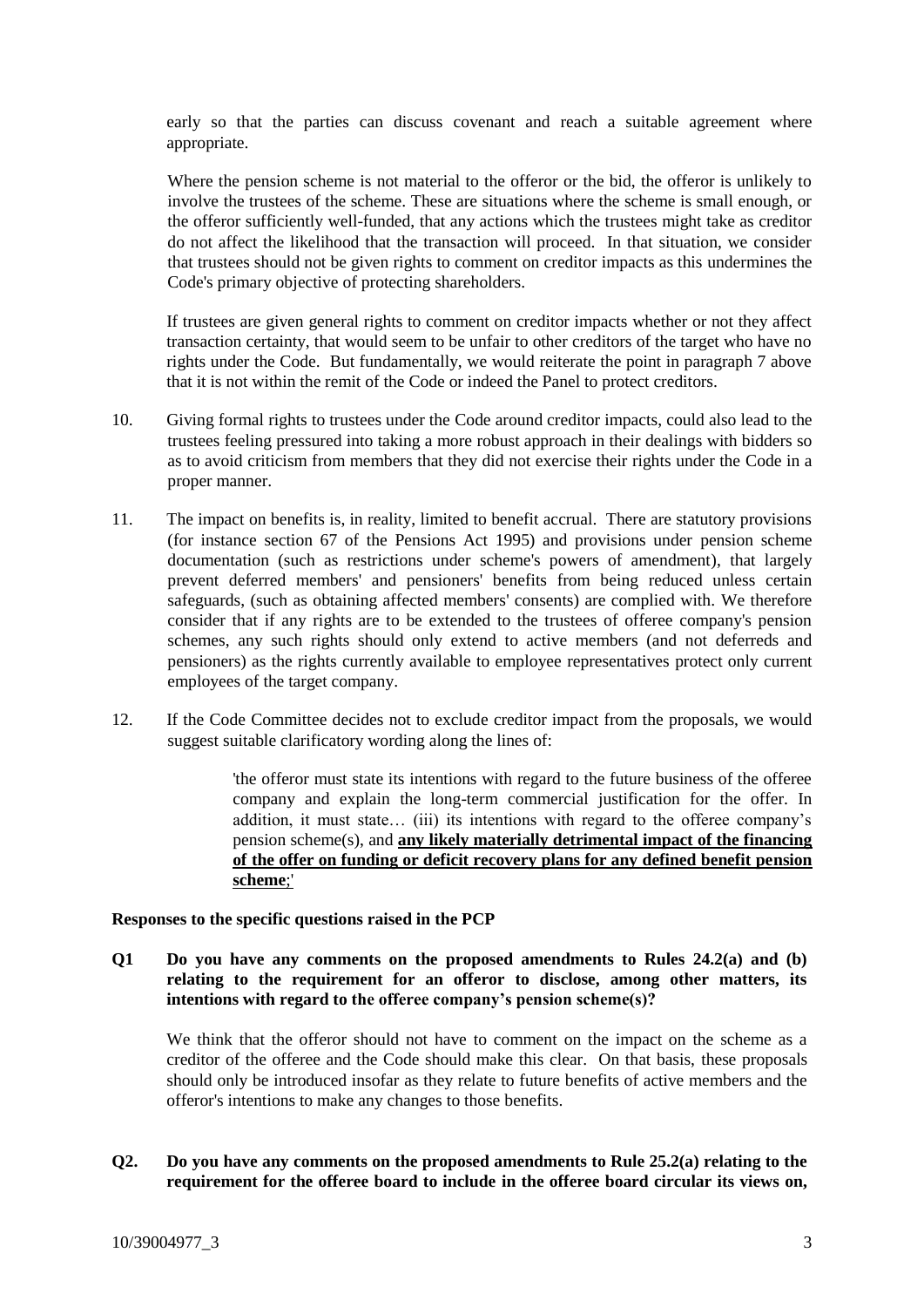early so that the parties can discuss covenant and reach a suitable agreement where appropriate.

Where the pension scheme is not material to the offeror or the bid, the offeror is unlikely to involve the trustees of the scheme. These are situations where the scheme is small enough, or the offeror sufficiently well-funded, that any actions which the trustees might take as creditor do not affect the likelihood that the transaction will proceed. In that situation, we consider that trustees should not be given rights to comment on creditor impacts as this undermines the Code's primary objective of protecting shareholders.

If trustees are given general rights to comment on creditor impacts whether or not they affect transaction certainty, that would seem to be unfair to other creditors of the target who have no rights under the Code. But fundamentally, we would reiterate the point in paragraph 7 above that it is not within the remit of the Code or indeed the Panel to protect creditors.

- 10. Giving formal rights to trustees under the Code around creditor impacts, could also lead to the trustees feeling pressured into taking a more robust approach in their dealings with bidders so as to avoid criticism from members that they did not exercise their rights under the Code in a proper manner.
- 11. The impact on benefits is, in reality, limited to benefit accrual. There are statutory provisions (for instance section 67 of the Pensions Act 1995) and provisions under pension scheme documentation (such as restrictions under scheme's powers of amendment), that largely prevent deferred members' and pensioners' benefits from being reduced unless certain safeguards, (such as obtaining affected members' consents) are complied with. We therefore consider that if any rights are to be extended to the trustees of offeree company's pension schemes, any such rights should only extend to active members (and not deferreds and pensioners) as the rights currently available to employee representatives protect only current employees of the target company.
- 12. If the Code Committee decides not to exclude creditor impact from the proposals, we would suggest suitable clarificatory wording along the lines of:

'the offeror must state its intentions with regard to the future business of the offeree company and explain the long-term commercial justification for the offer. In addition, it must state… (iii) its intentions with regard to the offeree company's pension scheme(s), and **any likely materially detrimental impact of the financing of the offer on funding or deficit recovery plans for any defined benefit pension scheme**;'

### **Responses to the specific questions raised in the PCP**

**Q1 Do you have any comments on the proposed amendments to Rules 24.2(a) and (b) relating to the requirement for an offeror to disclose, among other matters, its intentions with regard to the offeree company's pension scheme(s)?**

We think that the offeror should not have to comment on the impact on the scheme as a creditor of the offeree and the Code should make this clear. On that basis, these proposals should only be introduced insofar as they relate to future benefits of active members and the offeror's intentions to make any changes to those benefits.

**Q2. Do you have any comments on the proposed amendments to Rule 25.2(a) relating to the requirement for the offeree board to include in the offeree board circular its views on,**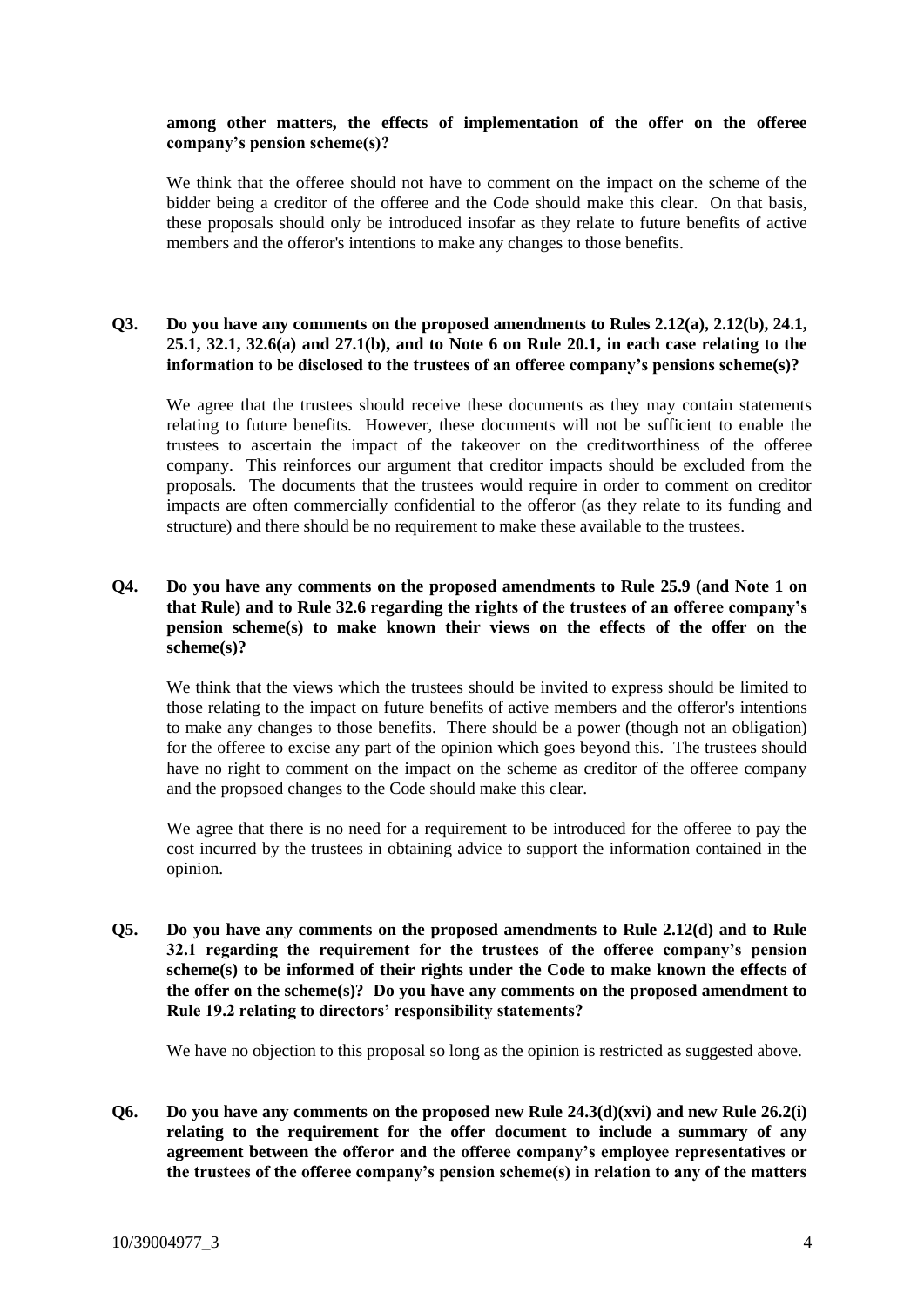## **among other matters, the effects of implementation of the offer on the offeree company's pension scheme(s)?**

We think that the offeree should not have to comment on the impact on the scheme of the bidder being a creditor of the offeree and the Code should make this clear. On that basis, these proposals should only be introduced insofar as they relate to future benefits of active members and the offeror's intentions to make any changes to those benefits.

# **Q3. Do you have any comments on the proposed amendments to Rules 2.12(a), 2.12(b), 24.1, 25.1, 32.1, 32.6(a) and 27.1(b), and to Note 6 on Rule 20.1, in each case relating to the information to be disclosed to the trustees of an offeree company's pensions scheme(s)?**

We agree that the trustees should receive these documents as they may contain statements relating to future benefits. However, these documents will not be sufficient to enable the trustees to ascertain the impact of the takeover on the creditworthiness of the offeree company. This reinforces our argument that creditor impacts should be excluded from the proposals. The documents that the trustees would require in order to comment on creditor impacts are often commercially confidential to the offeror (as they relate to its funding and structure) and there should be no requirement to make these available to the trustees.

# **Q4. Do you have any comments on the proposed amendments to Rule 25.9 (and Note 1 on that Rule) and to Rule 32.6 regarding the rights of the trustees of an offeree company's pension scheme(s) to make known their views on the effects of the offer on the scheme(s)?**

We think that the views which the trustees should be invited to express should be limited to those relating to the impact on future benefits of active members and the offeror's intentions to make any changes to those benefits. There should be a power (though not an obligation) for the offeree to excise any part of the opinion which goes beyond this. The trustees should have no right to comment on the impact on the scheme as creditor of the offeree company and the propsoed changes to the Code should make this clear.

We agree that there is no need for a requirement to be introduced for the offeree to pay the cost incurred by the trustees in obtaining advice to support the information contained in the opinion.

**Q5. Do you have any comments on the proposed amendments to Rule 2.12(d) and to Rule 32.1 regarding the requirement for the trustees of the offeree company's pension scheme(s) to be informed of their rights under the Code to make known the effects of the offer on the scheme(s)? Do you have any comments on the proposed amendment to Rule 19.2 relating to directors' responsibility statements?**

We have no objection to this proposal so long as the opinion is restricted as suggested above.

**Q6. Do you have any comments on the proposed new Rule 24.3(d)(xvi) and new Rule 26.2(i) relating to the requirement for the offer document to include a summary of any agreement between the offeror and the offeree company's employee representatives or the trustees of the offeree company's pension scheme(s) in relation to any of the matters**